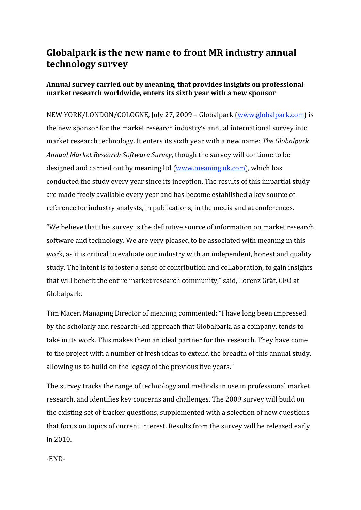# **Globalpark
is
the
new
name
to
front MR
industry
annual technology
survey**

### Annual survey carried out by meaning, that provides insights on professional **market
research
worldwide,
enters
its
sixth
year
with
a
new
sponsor**

NEW YORK/LONDON/COLOGNE, July 27, 2009 - Globalpark (www.globalpark.com) is the
new
sponsor
for
the
market
research
industry's
annual
international
survey
into market
research
technology.
It
enters
its
sixth
year
with
a
new
name: *The
Globalpark Annual
Market
Research
Software
Survey*,
though
the
survey
will
continue
to
be designed and carried out by meaning ltd (www.meaning.uk.com), which has conducted
the
study
every
year
since
its
inception.
The
results
of
this
impartial
study are
made
freely
available
every
year
and
has
become
established
a
key
source
of reference
for
industry
analysts,
in
publications,
in
the
media
and
at
conferences.

"We believe that this survey is the definitive source of information on market research software and technology. We are very pleased to be associated with meaning in this work, as it is critical to evaluate our industry with an independent, honest and quality study. The intent is to foster a sense of contribution and collaboration, to gain insights that
will
benefit
the
entire
market
research
community,"
said,
Lorenz
Gräf,
CEO
at Globalpark.

Tim
Macer,
Managing
Director
of
meaning
commented:
"I
have
long
been
impressed by
the
scholarly
and
research‐led
approach
that
Globalpark,
as
a
company,
tends
to take
in
its
work.
This
makes
them
an
ideal
partner
for
this
research.
They
have
come to the project with a number of fresh ideas to extend the breadth of this annual study, allowing us to build on the legacy of the previous five years."

The survey tracks the range of technology and methods in use in professional market research,
and
identifies
key
concerns
and
challenges.
The
2009
survey
will
build
on the
existing
set
of
tracker
questions,
supplemented
with
a
selection
of
new
questions that
focus
on
topics
of
current
interest.
Results
from
the
survey
will
be
released
early in
2010.

‐END‐